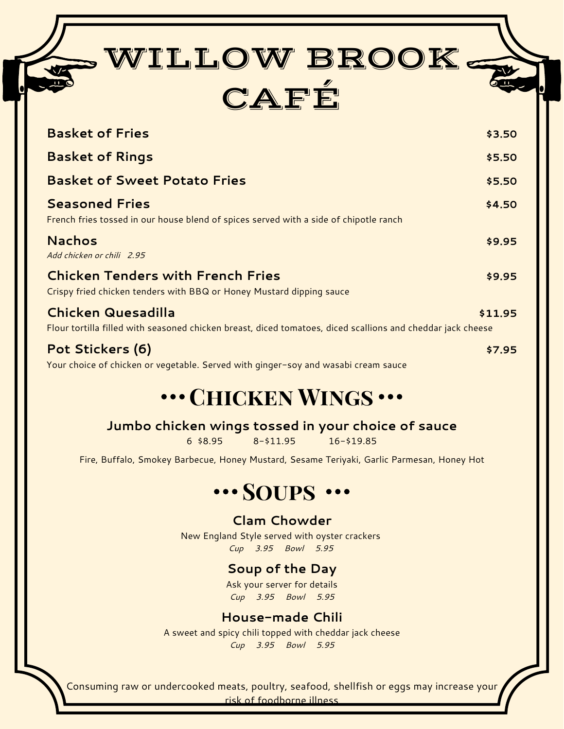| WILLOW BROOK.<br>CAFÉ                                                                                                                    |         |
|------------------------------------------------------------------------------------------------------------------------------------------|---------|
| <b>Basket of Fries</b>                                                                                                                   | \$3.50  |
| <b>Basket of Rings</b>                                                                                                                   | \$5.50  |
| <b>Basket of Sweet Potato Fries</b>                                                                                                      | \$5.50  |
| <b>Seasoned Fries</b><br>French fries tossed in our house blend of spices served with a side of chipotle ranch                           | \$4.50  |
| <b>Nachos</b><br>Add chicken or chili 2.95                                                                                               | \$9.95  |
| <b>Chicken Tenders with French Fries</b><br>Crispy fried chicken tenders with BBQ or Honey Mustard dipping sauce                         | \$9.95  |
| <b>Chicken Quesadilla</b><br>Flour tortilla filled with seasoned chicken breast, diced tomatoes, diced scallions and cheddar jack cheese | \$11.95 |
| Pot Stickers (6)                                                                                                                         | \$7.95  |

Your choice of chicken or vegetable. Served with ginger-soy and wasabi cream sauce

# **... CHICKEN WINGS ...**

#### **Jumbo chicken wings tossed in your choice of sauce**

6 \$8.95 8-\$11.95 16-\$19.85

Fire, Buffalo, Smokey Barbecue, Honey Mustard, Sesame Teriyaki, Garlic Parmesan, Honey Hot

## **SOUPS** ...

#### **Clam Chowder**

New England Style served with oyster crackers *Cup 3.95 Bowl 5.95* 

#### **Soup of the Day**

Ask your server for details *Cup 3.95 Bowl 5.95*

#### **House-made Chili**

A sweet and spicy chili topped with cheddar jack cheese *Cup 3.95 Bowl 5.95*

Consuming raw or undercooked meats, poultry, seafood, shellfish or eggs may increase your risk of foodborne illness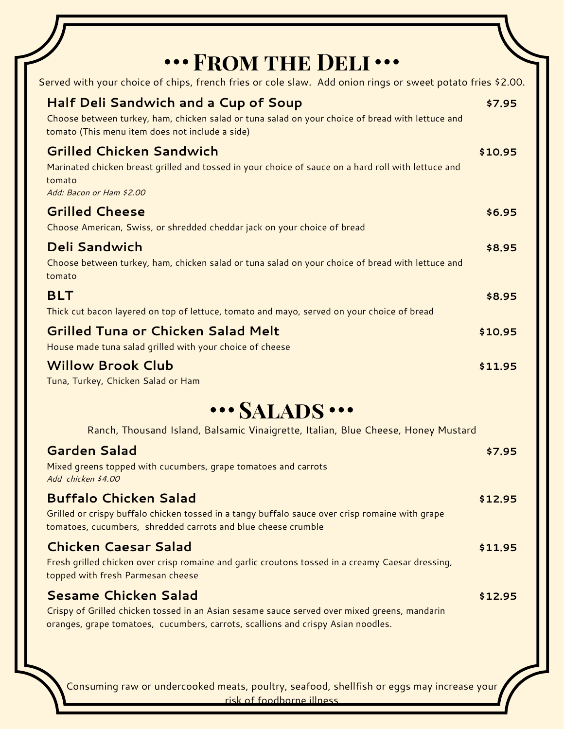| "" FROM THE DELI"                                                                                                                                                                                  |         |
|----------------------------------------------------------------------------------------------------------------------------------------------------------------------------------------------------|---------|
| Served with your choice of chips, french fries or cole slaw. Add onion rings or sweet potato fries \$2.00.                                                                                         |         |
| <b>Half Deli Sandwich and a Cup of Soup</b><br>Choose between turkey, ham, chicken salad or tuna salad on your choice of bread with lettuce and<br>tomato (This menu item does not include a side) | \$7.95  |
| <b>Grilled Chicken Sandwich</b><br>Marinated chicken breast grilled and tossed in your choice of sauce on a hard roll with lettuce and<br>tomato<br>Add: Bacon or Ham \$2.00                       | \$10.95 |
| <b>Grilled Cheese</b>                                                                                                                                                                              | \$6.95  |
| Choose American, Swiss, or shredded cheddar jack on your choice of bread                                                                                                                           |         |
| <b>Deli Sandwich</b><br>Choose between turkey, ham, chicken salad or tuna salad on your choice of bread with lettuce and<br>tomato                                                                 | \$8.95  |
| <b>BLT</b><br>Thick cut bacon layered on top of lettuce, tomato and mayo, served on your choice of bread                                                                                           | \$8.95  |
| <b>Grilled Tuna or Chicken Salad Melt</b><br>House made tuna salad grilled with your choice of cheese                                                                                              | \$10.95 |
| <b>Willow Brook Club</b><br>Tuna, Turkey, Chicken Salad or Ham                                                                                                                                     | \$11.95 |
| ··· SALADS ···                                                                                                                                                                                     |         |
| Ranch, Thousand Island, Balsamic Vinaigrette, Italian, Blue Cheese, Honey Mustard                                                                                                                  |         |
| <b>Garden Salad</b><br>Mixed greens topped with cucumbers, grape tomatoes and carrots<br>Add chicken \$4.00                                                                                        | \$7.95  |
| <b>Buffalo Chicken Salad</b><br>Grilled or crispy buffalo chicken tossed in a tangy buffalo sauce over crisp romaine with grape<br>tomatoes, cucumbers, shredded carrots and blue cheese crumble   | \$12.95 |
| <b>Chicken Caesar Salad</b><br>Fresh grilled chicken over crisp romaine and garlic croutons tossed in a creamy Caesar dressing,<br>topped with fresh Parmesan cheese                               | \$11.95 |
| <b>Sesame Chicken Salad</b><br>Crispy of Grilled chicken tossed in an Asian sesame sauce served over mixed greens, mandarin                                                                        | \$12.95 |

oranges, grape tomatoes, cucumbers, carrots, scallions and crispy Asian noodles.

Consuming raw or undercooked meats, poultry, seafood, shellfish or eggs may increase your risk of foodborne illness